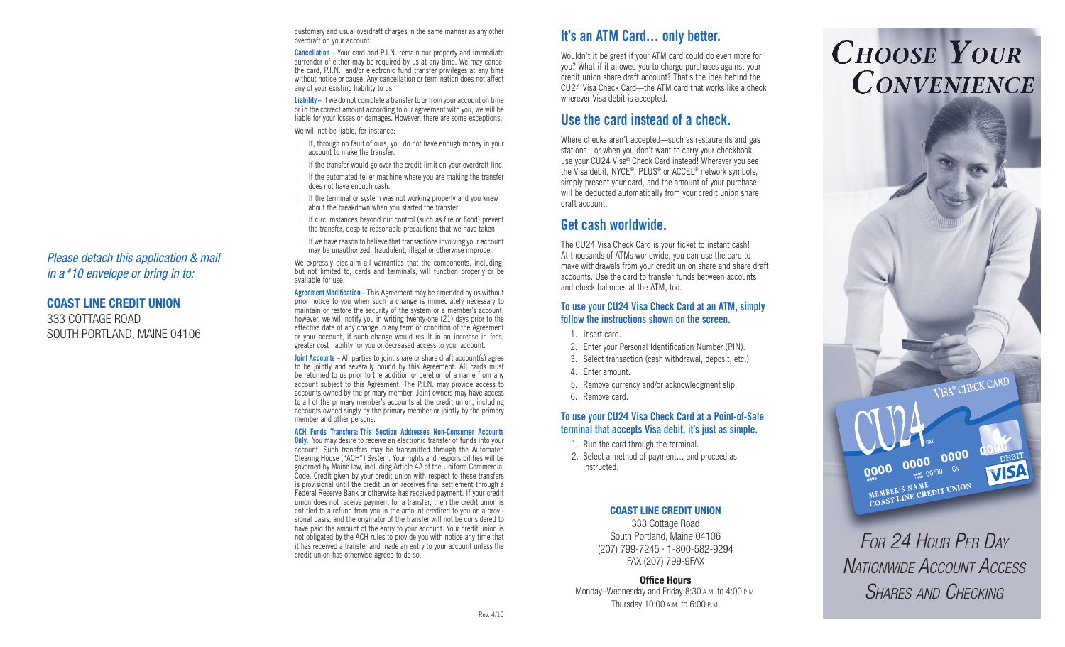customary and usual overdraft charges in the same manner as any other overdraft on your account.

**Cancellation –** Your card and P.I.N. remain our property and immediate surrender of either may be required by us at any time. We may cancel the card, P.I.N., and/or electronic fund transfer privileges at any time without notice or cause. Any cancellation or termination does not affect any of your existing liability to us.

**Liability –** If we do not complete a transfer to or from your account on time or in the correct amount according to our agreement with you, we will be liable for your losses or damages. However, there are some exceptions.

We will not be liable, for instance:

- · If, through no fault of ours, you do not have enough money in your account to make the transfer.
- · If the transfer would go over the credit limit on your overdraft line.
- · If the automated teller machine where you are making the transfer does not have enough cash.
- · If the terminal or system was not working properly and you knew about the breakdown when you started the transfer.
- · If circumstances beyond our control (such as fire or flood) prevent the transfer, despite reasonable precautions that we have taken.
- · If we have reason to believe that transactions involving your account may be unauthorized, fraudulent, illegal or otherwise improper.

We expressly disclaim all warranties that the components, including, but not limited to, cards and terminals, will function properly or be available for use.

**Agreement Modification –** This Agreement may be amended by us without prior notice to you when such a change is immediately necessary to maintain or restore the security of the system or a member's account; however, we will notify you in writing twenty-one (21) days prior to the effective date of any change in any term or condition of the Agreement or your account, if such change would result in an increase in fees, greater cost liability for you or decreased access to your account.

**Joint Accounts –** All parties to joint share or share draft account(s) agree to be jointly and severally bound by this Agreement. All cards must be returned to us prior to the addition or deletion of a name from any account subject to this Agreement. The P.I.N. may provide access to accounts owned by the primary member. Joint owners may have access to all of the primary member's accounts at the credit union, including accounts owned singly by the primary member or jointly by the primary member and other persons.

### **ACH Funds Transfers: This Section Addresses Non-Consumer Accounts**

**Only.** You may desire to receive an electronic transfer of funds into your account. Such transfers may be transmitted through the Automated Clearing House ("ACH") System. Your rights and responsibilities will be governed by Maine law, including Article 4A of the Uniform Commercial Code. Credit given by your credit union with respect to these transfers is provisional until the credit union receives final settlement through a Federal Reserve Bank or otherwise has received payment. If your credit union does not receive payment for a transfer, then the credit union is entitled to a refund from you in the amount credited to you on a provi sional basis, and the originator of the transfer will not be considered to have paid the amount of the entry to your account. Your credit union is not obligated by the ACH rules to provide you with notice any time that it has received a transfer and made an entry to your account unless the credit union has otherwise agreed to do so.

# **It's an ATM Card… only better.**

Wouldn't it be great if your ATM card could do even more for you? What if it allowed you to charge purchases against your credit union share draft account? That's the idea behind the CU24 Visa Check Card—the ATM card that works like a check wherever Visa debit is accepted.

# **Use the card instead of a check.**

Where checks aren't accepted—such as restaurants and gas stations—or when you don't want to carry your checkbook, use your CU24 Visa ® Check Card instead! Wherever you see the Visa debit, NYCE ®, PLUS ® or ACCEL ® network symbols, simply present your card, and the amount of your purchase will be deducted automatically from your credit union share draft account.

# **Get cash worldwide.**

The CU24 Visa Check Card is your ticket to instant cash! At thousands of ATMs worldwide, you can use the card to make withdrawals from your credit union share and share draft accounts. Use the card to transfer funds between accounts and check balances at the ATM, too.

### **To use your CU24 Visa Check Card at an ATM, simply follow the instructions shown on the screen.**

- 1. Insert card.
- 2. Enter your Personal Identification Number (PIN).
- 3. Select transaction (cash withdrawal, deposit, etc.)
- 4. Enter amount.
- 5. Remove currency and/or acknowledgment slip.
- 6. Remove card.

### **To use your CU24 Visa Check Card at a Point-of-Sale terminal that accepts Visa debit, it's just as simple.**

- 1. Run the card through the terminal.
- 2. Select a method of payment… and proceed as instructed.

### COAST LINE CREDIT UNION

333 Cottage Road South Portland, Maine 04106 (207) 799-7245 · 1-800-582-9294 FAX (207) 799-9FAX

Office Hours Monday-Wednesday and Friday 8:30 A.M. to 4:00 P.M. Thursday 10:00 A.M. to 6:00 P.M.

# **CHOOSE YOUR CONVENIENCE**



### COAST LINE CREDIT UNION 333 COTTAGE ROAD

SOUTH PORTLAND, MAINE 04106

*For 24 Hour Per Day* **N**ATIONWIDE Account Access SHARES AND CHECKING

 $\begin{picture}(180,10) \put(10,0){\line(1,0){100}} \put(10,0){\line(1,0){100}} \put(10,0){\line(1,0){100}} \put(10,0){\line(1,0){100}} \put(10,0){\line(1,0){100}} \put(10,0){\line(1,0){100}} \put(10,0){\line(1,0){100}} \put(10,0){\line(1,0){100}} \put(10,0){\line(1,0){100}} \put(10,0){\line(1,0){100}} \put(10,0){\line(1,0){100$ 

COAST LINE CREDIT UNION<br>MEMBER'S NAME<br>COAST LINE CREDIT UNION

VISA® CHECK CARD

VISA